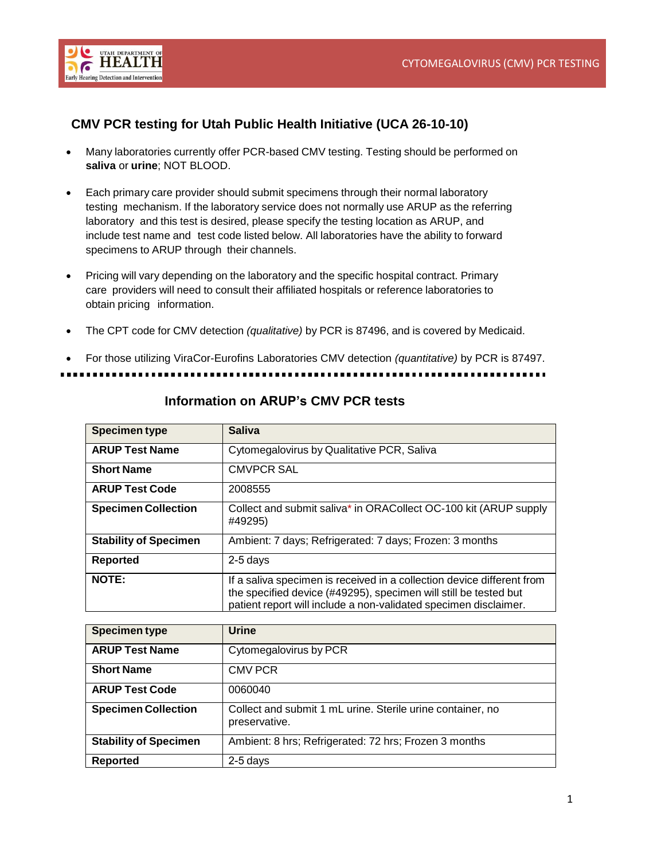

## **CMV PCR testing for Utah Public Health Initiative (UCA 26-10-10)**

- Many laboratories currently offer PCR-based CMV testing. Testing should be performed on **saliva** or **urine**; NOT BLOOD.
- Each primary care provider should submit specimens through their normal laboratory testing mechanism. If the laboratory service does not normally use ARUP as the referring laboratory and this test is desired, please specify the testing location as ARUP, and include test name and test code listed below. All laboratories have the ability to forward specimens to ARUP through their channels.
- Pricing will vary depending on the laboratory and the specific hospital contract. Primary care providers will need to consult their affiliated hospitals or reference laboratories to obtain pricing information.
- The CPT code for CMV detection *(qualitative)* by PCR is 87496, and is covered by Medicaid.

• For those utilizing ViraCor-Eurofins Laboratories CMV detection *(quantitative)* by PCR is 87497.

| <b>Specimen type</b>         | <b>Saliva</b>                                                                                                                                                                                                  |
|------------------------------|----------------------------------------------------------------------------------------------------------------------------------------------------------------------------------------------------------------|
| <b>ARUP Test Name</b>        | Cytomegalovirus by Qualitative PCR, Saliva                                                                                                                                                                     |
| <b>Short Name</b>            | <b>CMVPCR SAL</b>                                                                                                                                                                                              |
| <b>ARUP Test Code</b>        | 2008555                                                                                                                                                                                                        |
| <b>Specimen Collection</b>   | Collect and submit saliva* in ORACollect OC-100 kit (ARUP supply<br>#49295)                                                                                                                                    |
| <b>Stability of Specimen</b> | Ambient: 7 days; Refrigerated: 7 days; Frozen: 3 months                                                                                                                                                        |
| Reported                     | $2-5$ days                                                                                                                                                                                                     |
| <b>NOTE:</b>                 | If a saliva specimen is received in a collection device different from<br>the specified device (#49295), specimen will still be tested but<br>patient report will include a non-validated specimen disclaimer. |

## **Information on ARUP's CMV PCR tests**

| <b>Specimen type</b>         | <b>Urine</b>                                                                |
|------------------------------|-----------------------------------------------------------------------------|
| <b>ARUP Test Name</b>        | Cytomegalovirus by PCR                                                      |
| <b>Short Name</b>            | <b>CMV PCR</b>                                                              |
| <b>ARUP Test Code</b>        | 0060040                                                                     |
| <b>Specimen Collection</b>   | Collect and submit 1 mL urine. Sterile urine container, no<br>preservative. |
| <b>Stability of Specimen</b> | Ambient: 8 hrs; Refrigerated: 72 hrs; Frozen 3 months                       |
| Reported                     | $2-5$ days                                                                  |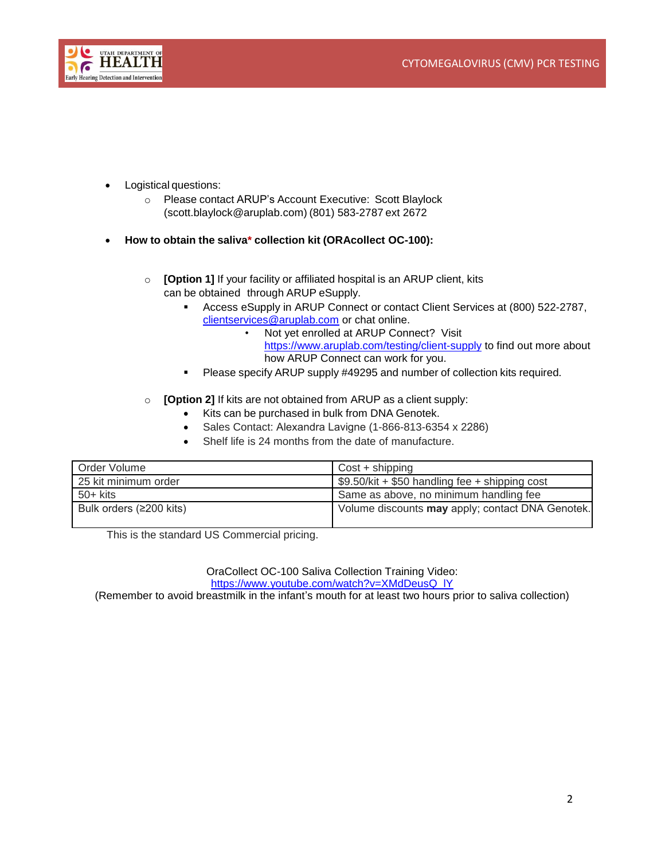

- Logistical questions:
	- o Please contact ARUP's Account Executive: Scott Blaylock (scott.blaylock@aruplab.com) (801) 583-2787 ext 2672
- **How to obtain the saliva\* collection kit (ORAcollect OC-100):**
	- o **[Option 1]** If your facility or affiliated hospital is an ARUP client, kits can be obtained through ARUP eSupply.
		- [Access](file://///utah/dfhp/users/CSHCN/smcvicar/CMV%20Final%20Materials/Access) eSupply in ARUP Connect or contact Client Services at (800) 522-2787, [clientservices@aruplab.com](mailto:clientservices@aruplab.com) or chat online.
			- Not yet enrolled at ARUP Connect? Visit <https://www.aruplab.com/testing/client-supply> to find out more about how ARUP Connect can work for you.
		- **Please specify ARUP supply #49295 and number of collection kits required.**
	- o **[Option 2]** If kits are not obtained from ARUP as a client supply:
		- Kits can be purchased in bulk from DNA Genotek.
		- Sales Contact: Alexandra Lavigne (1-866-813-6354 x 2286)
		- Shelf life is 24 months from the date of manufacture.

| Order Volume            | $Cost + shipping$                                            |
|-------------------------|--------------------------------------------------------------|
| 25 kit minimum order    | $\frac{1}{2}$ \$9.50/kit + \$50 handling fee + shipping cost |
| $50+$ kits              | Same as above, no minimum handling fee                       |
| Bulk orders (≥200 kits) | Volume discounts may apply; contact DNA Genotek.             |

This is the standard US Commercial pricing.

OraCollect OC-100 Saliva Collection Training Video: [https://www.youtube.com/watch?v=XMdDeusQ\\_lY](https://www.youtube.com/watch?v=XMdDeusQ_lY)

(Remember to avoid breastmilk in the infant's mouth for at least two hours prior to saliva collection)